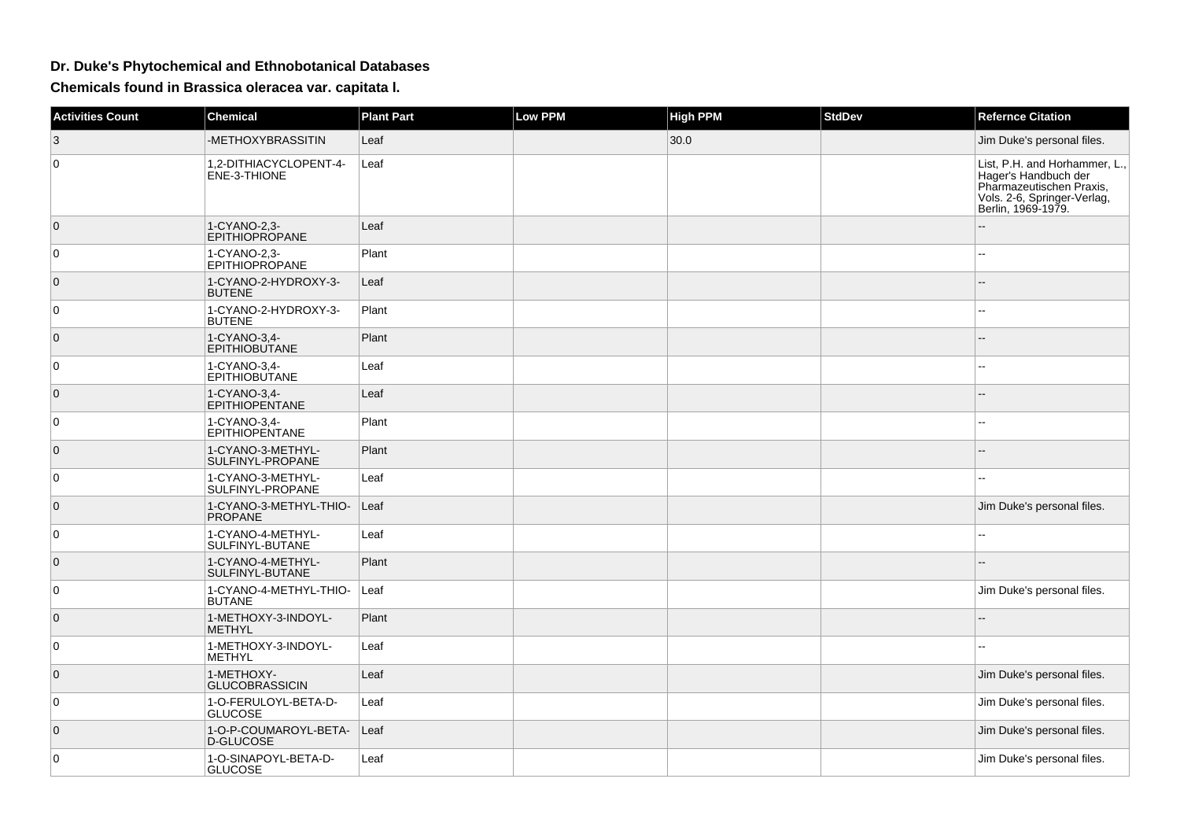## **Dr. Duke's Phytochemical and Ethnobotanical Databases**

**Chemicals found in Brassica oleracea var. capitata l.**

| <b>Activities Count</b> | <b>Chemical</b>                           | <b>Plant Part</b> | <b>Low PPM</b> | <b>High PPM</b> | <b>StdDev</b> | <b>Refernce Citation</b>                                                                                                               |
|-------------------------|-------------------------------------------|-------------------|----------------|-----------------|---------------|----------------------------------------------------------------------------------------------------------------------------------------|
| 3                       | -METHOXYBRASSITIN                         | Leaf              |                | 30.0            |               | Jim Duke's personal files.                                                                                                             |
| $\Omega$                | 1,2-DITHIACYCLOPENT-4-<br>ENE-3-THIONE    | Leaf              |                |                 |               | List, P.H. and Horhammer, L.,<br>Hager's Handbuch der<br>Pharmazeutischen Praxis,<br>Vols. 2-6, Springer-Verlag,<br>Berlin, 1969-1979. |
| $\overline{0}$          | 1-CYANO-2,3-<br><b>EPITHIOPROPANE</b>     | Leaf              |                |                 |               | L.                                                                                                                                     |
| $\mathbf 0$             | 1-CYANO-2,3-<br><b>EPITHIOPROPANE</b>     | Plant             |                |                 |               |                                                                                                                                        |
| $\mathbf 0$             | 1-CYANO-2-HYDROXY-3-<br><b>BUTENE</b>     | Leaf              |                |                 |               |                                                                                                                                        |
| 0                       | 1-CYANO-2-HYDROXY-3-<br><b>BUTENE</b>     | Plant             |                |                 |               |                                                                                                                                        |
| $\mathbf 0$             | 1-CYANO-3,4-<br><b>EPITHIOBUTANE</b>      | Plant             |                |                 |               |                                                                                                                                        |
| $\mathbf 0$             | 1-CYANO-3,4-<br><b>EPITHIOBUTANE</b>      | Leaf              |                |                 |               |                                                                                                                                        |
| $\mathbf 0$             | 1-CYANO-3,4-<br>EPITHIOPENTANE            | Leaf              |                |                 |               |                                                                                                                                        |
| $\mathbf 0$             | 1-CYANO-3,4-<br>EPITHIOPENTANE            | Plant             |                |                 |               |                                                                                                                                        |
| $\mathbf 0$             | 1-CYANO-3-METHYL-<br>SULFINYL-PROPANE     | Plant             |                |                 |               |                                                                                                                                        |
| 0                       | 1-CYANO-3-METHYL-<br>SULFINYL-PROPANE     | Leaf              |                |                 |               |                                                                                                                                        |
| $\mathbf 0$             | 1-CYANO-3-METHYL-THIO-<br><b>PROPANE</b>  | Leaf              |                |                 |               | Jim Duke's personal files.                                                                                                             |
| 0                       | 1-CYANO-4-METHYL-<br>SULFINYL-BUTANE      | Leaf              |                |                 |               |                                                                                                                                        |
| $\mathbf{0}$            | 1-CYANO-4-METHYL-<br>SULFINYL-BUTANE      | Plant             |                |                 |               | $-$                                                                                                                                    |
| $\mathbf 0$             | 1-CYANO-4-METHYL-THIO-<br><b>BUTANE</b>   | Leaf              |                |                 |               | Jim Duke's personal files.                                                                                                             |
| $\mathbf{0}$            | 1-METHOXY-3-INDOYL-<br><b>METHYL</b>      | Plant             |                |                 |               |                                                                                                                                        |
| $\mathbf 0$             | 1-METHOXY-3-INDOYL-<br><b>METHYL</b>      | Leaf              |                |                 |               |                                                                                                                                        |
| $\mathbf{0}$            | 1-METHOXY-<br><b>GLUCOBRASSICIN</b>       | Leaf              |                |                 |               | Jim Duke's personal files.                                                                                                             |
| $\mathbf 0$             | 1-O-FERULOYL-BETA-D-<br><b>GLUCOSE</b>    | Leaf              |                |                 |               | Jim Duke's personal files.                                                                                                             |
| $\mathbf 0$             | 1-O-P-COUMAROYL-BETA-<br><b>D-GLUCOSE</b> | Leaf              |                |                 |               | Jim Duke's personal files.                                                                                                             |
| $\mathbf 0$             | 1-O-SINAPOYL-BETA-D-<br><b>GLUCOSE</b>    | Leaf              |                |                 |               | Jim Duke's personal files.                                                                                                             |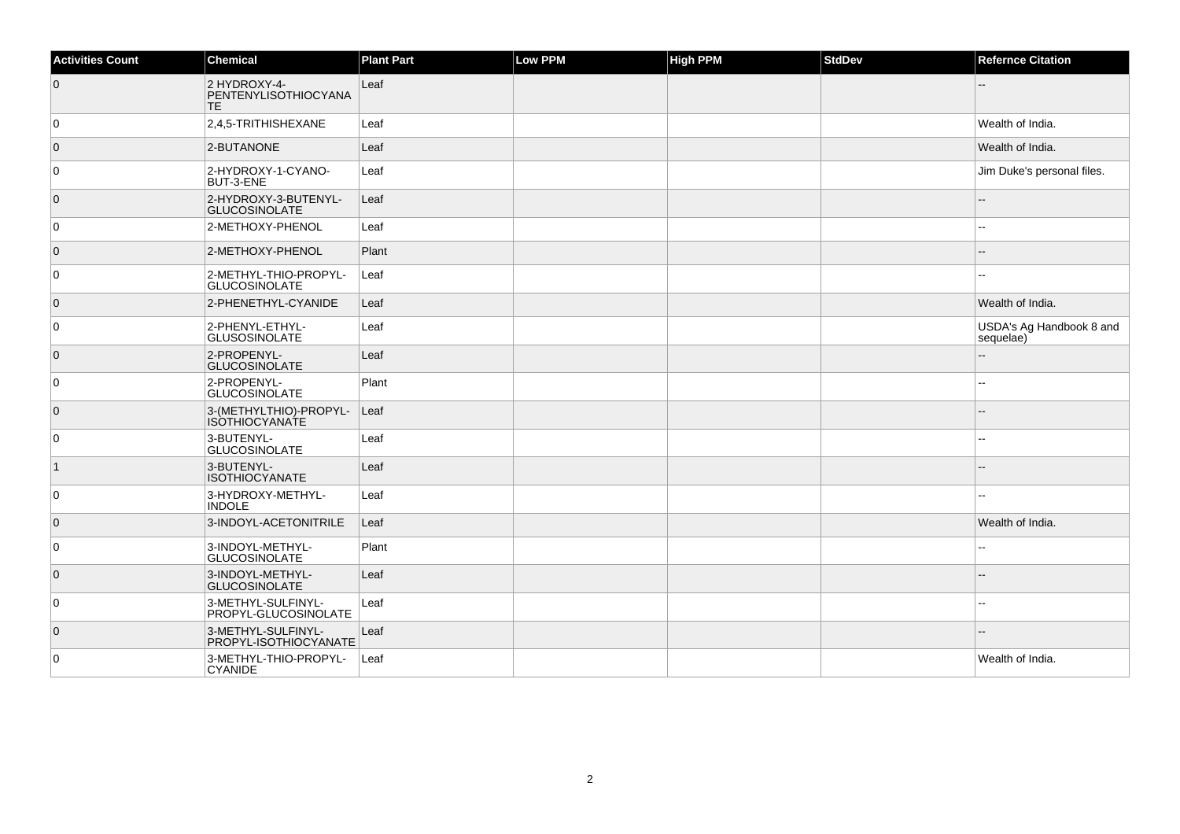| <b>Activities Count</b> | Chemical                                        | <b>Plant Part</b> | Low PPM | <b>High PPM</b> | <b>StdDev</b> | <b>Refernce Citation</b>              |
|-------------------------|-------------------------------------------------|-------------------|---------|-----------------|---------------|---------------------------------------|
| $\overline{0}$          | 2 HYDROXY-4-<br>PENTENYLISOTHIOCYANA<br>TE.     | Leaf              |         |                 |               |                                       |
| $\overline{0}$          | 2,4,5-TRITHISHEXANE                             | Leaf              |         |                 |               | Wealth of India.                      |
| $\overline{0}$          | 2-BUTANONE                                      | Leaf              |         |                 |               | Wealth of India.                      |
| $\overline{0}$          | 2-HYDROXY-1-CYANO-<br>BUT-3-ENE                 | Leaf              |         |                 |               | Jim Duke's personal files.            |
| $\overline{0}$          | 2-HYDROXY-3-BUTENYL-<br><b>GLUCOSINOLATE</b>    | Leaf              |         |                 |               |                                       |
| $\overline{0}$          | 2-METHOXY-PHENOL                                | Leaf              |         |                 |               | --                                    |
| $\overline{0}$          | 2-METHOXY-PHENOL                                | Plant             |         |                 |               |                                       |
| $\overline{0}$          | 2-METHYL-THIO-PROPYL-<br><b>GLUCOSINOLATE</b>   | Leaf              |         |                 |               |                                       |
| $\overline{0}$          | 2-PHENETHYL-CYANIDE                             | Leaf              |         |                 |               | Wealth of India.                      |
| 0                       | 2-PHENYL-ETHYL-<br><b>GLUSOSINOLATE</b>         | Leaf              |         |                 |               | USDA's Ag Handbook 8 and<br>sequelae) |
| $\overline{0}$          | 2-PROPENYL-<br><b>GLUCOSINOLATE</b>             | Leaf              |         |                 |               |                                       |
| $\overline{0}$          | 2-PROPENYL-<br><b>GLUCOSINOLATE</b>             | Plant             |         |                 |               | $\overline{a}$                        |
| $\overline{0}$          | 3-(METHYLTHIO)-PROPYL-<br><b>ISOTHIOCYANATE</b> | Leaf              |         |                 |               |                                       |
| $\overline{0}$          | 3-BUTENYL-<br><b>GLUCOSINOLATE</b>              | Leaf              |         |                 |               |                                       |
| $\vert$ 1               | 3-BUTENYL-<br><b>ISOTHIOCYANATE</b>             | Leaf              |         |                 |               |                                       |
| $\overline{0}$          | 3-HYDROXY-METHYL-<br><b>INDOLE</b>              | Leaf              |         |                 |               |                                       |
| $\overline{0}$          | 3-INDOYL-ACETONITRILE                           | Leaf              |         |                 |               | Wealth of India.                      |
| $\overline{0}$          | 3-INDOYL-METHYL-<br><b>GLUCOSINOLATE</b>        | Plant             |         |                 |               |                                       |
| $\overline{0}$          | 3-INDOYL-METHYL-<br><b>GLUCOSINOLATE</b>        | Leaf              |         |                 |               |                                       |
| $\overline{0}$          | 3-METHYL-SULFINYL-<br>PROPYL-GLUCOSINOLATE      | Leaf              |         |                 |               |                                       |
| $\overline{0}$          | 3-METHYL-SULFINYL-<br>PROPYL-ISOTHIOCYANATE     | Leaf              |         |                 |               |                                       |
| $\overline{0}$          | 3-METHYL-THIO-PROPYL-<br><b>CYANIDE</b>         | Leaf              |         |                 |               | Wealth of India.                      |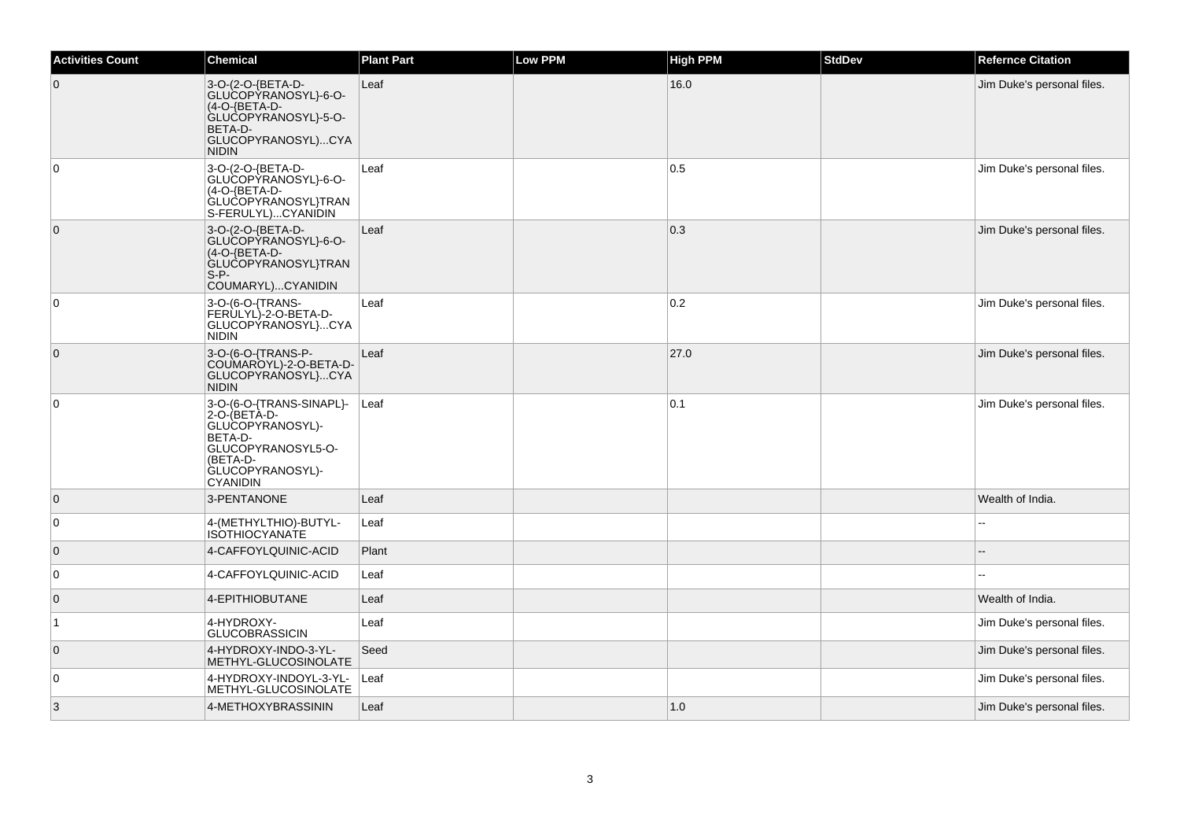| <b>Activities Count</b> | <b>Chemical</b>                                                                                                                                  | <b>Plant Part</b> | Low PPM | <b>High PPM</b> | <b>StdDev</b> | <b>Refernce Citation</b>   |
|-------------------------|--------------------------------------------------------------------------------------------------------------------------------------------------|-------------------|---------|-----------------|---------------|----------------------------|
| $\overline{0}$          | 3-O-(2-O-{BETA-D-<br>GLUCOPYRANOSYL}-6-O-<br>(4-O-{BETA-D-<br>GLUCOPYRANOSYL}-5-O-<br>BETA-D-<br>GLUCOPYRANOSYL)CYA<br><b>NIDIN</b>              | Leaf              |         | 16.0            |               | Jim Duke's personal files. |
| 0                       | 3-O-(2-O-{BETA-D-<br>GLUCOPYRANOSYL}-6-O-<br>(4-O-{BETA-D-<br>GLUCOPYRANOSYL}TRAN<br>S-FERULYL)CYANIDIN                                          | Leaf              |         | 0.5             |               | Jim Duke's personal files. |
| $\overline{0}$          | 3-O-(2-O-{BETA-D-<br>GLUCOPYRANOSYL}-6-O-<br>(4-O-{BETA-D-<br>GLUCOPYRANOSYL}TRAN<br>$S-P-$<br>COUMARYL)CYANIDIN                                 | Leaf              |         | 0.3             |               | Jim Duke's personal files. |
| $\overline{0}$          | 3-O-(6-O-{TRANS-<br>FERULYL)-2-O-BETA-D-<br>GLUCOPÝRANOSYL}CYA<br><b>NIDIN</b>                                                                   | Leaf              |         | 0.2             |               | Jim Duke's personal files. |
| $\overline{0}$          | 3-O-(6-O-{TRANS-P-<br>COUMAROYL)-2-O-BETA-D-<br>GLUCOPYRANOSYL}CYA<br><b>NIDIN</b>                                                               | Leaf              |         | 27.0            |               | Jim Duke's personal files. |
| $\overline{0}$          | 3-O-(6-O-{TRANS-SINAPL}-<br>2-O-(BETA-D-<br>GLUCOPYRANOSYL)-<br>BETA-D-<br>GLUCOPYRANOSYL5-O-<br>(BETA-D-<br>GLUCOPYRANOSYL)-<br><b>CYANIDIN</b> | Leaf              |         | 0.1             |               | Jim Duke's personal files. |
| $\overline{0}$          | 3-PENTANONE                                                                                                                                      | Leaf              |         |                 |               | Wealth of India.           |
| $\overline{0}$          | 4-(METHYLTHIO)-BUTYL-<br><b>ISOTHIOCYANATE</b>                                                                                                   | Leaf              |         |                 |               |                            |
| $\overline{0}$          | 4-CAFFOYLQUINIC-ACID                                                                                                                             | Plant             |         |                 |               |                            |
| $\overline{0}$          | 4-CAFFOYLQUINIC-ACID                                                                                                                             | Leaf              |         |                 |               |                            |
| $\overline{0}$          | 4-EPITHIOBUTANE                                                                                                                                  | Leaf              |         |                 |               | Wealth of India.           |
| 1                       | 4-HYDROXY-<br><b>GLUCOBRASSICIN</b>                                                                                                              | Leaf              |         |                 |               | Jim Duke's personal files. |
| $\overline{0}$          | 4-HYDROXY-INDO-3-YL-<br>METHYL-GLUCOSINOLATE                                                                                                     | Seed              |         |                 |               | Jim Duke's personal files. |
| 0                       | 4-HYDROXY-INDOYL-3-YL-<br>METHYL-GLUCOSINOLATE                                                                                                   | Leaf              |         |                 |               | Jim Duke's personal files. |
| 3                       | 4-METHOXYBRASSININ                                                                                                                               | Leaf              |         | 1.0             |               | Jim Duke's personal files. |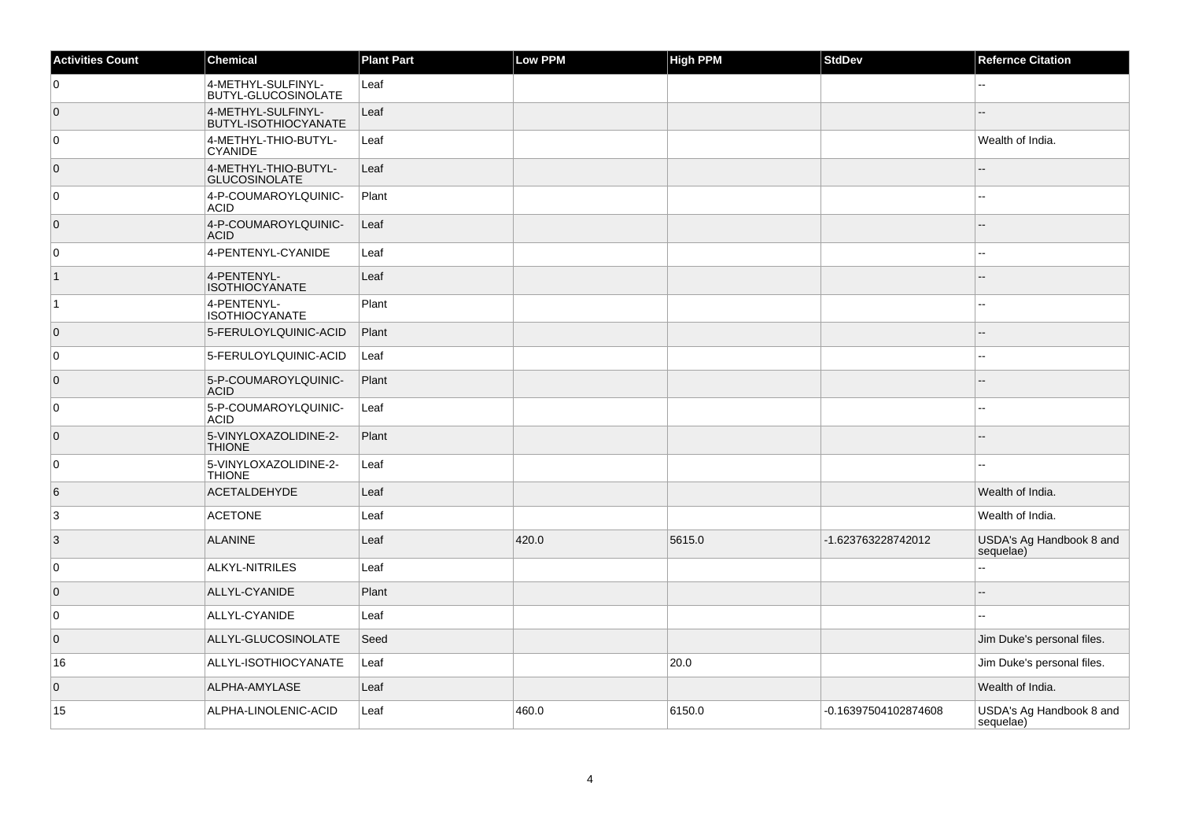| <b>Activities Count</b> | Chemical                                          | <b>Plant Part</b> | Low PPM | <b>High PPM</b> | <b>StdDev</b>        | <b>Refernce Citation</b>              |
|-------------------------|---------------------------------------------------|-------------------|---------|-----------------|----------------------|---------------------------------------|
| 0                       | 4-METHYL-SULFINYL-<br><b>BUTYL-GLUCOSINOLATE</b>  | Leaf              |         |                 |                      |                                       |
| $\overline{0}$          | 4-METHYL-SULFINYL-<br><b>BUTYL-ISOTHIOCYANATE</b> | Leaf              |         |                 |                      |                                       |
| 0                       | 4-METHYL-THIO-BUTYL-<br><b>CYANIDE</b>            | Leaf              |         |                 |                      | Wealth of India.                      |
| $\overline{0}$          | 4-METHYL-THIO-BUTYL-<br><b>GLUCOSINOLATE</b>      | Leaf              |         |                 |                      |                                       |
| 0                       | 4-P-COUMAROYLQUINIC-<br><b>ACID</b>               | Plant             |         |                 |                      | $\sim$                                |
| $\overline{0}$          | 4-P-COUMAROYLQUINIC-<br><b>ACID</b>               | Leaf              |         |                 |                      |                                       |
| $\pmb{0}$               | 4-PENTENYL-CYANIDE                                | Leaf              |         |                 |                      |                                       |
| $\vert$ 1               | 4-PENTENYL-<br><b>ISOTHIOCYANATE</b>              | Leaf              |         |                 |                      |                                       |
| $\vert$ 1               | 4-PENTENYL-<br><b>ISOTHIOCYANATE</b>              | Plant             |         |                 |                      | ۵.                                    |
| $\overline{0}$          | 5-FERULOYLQUINIC-ACID                             | Plant             |         |                 |                      | --                                    |
| 0                       | 5-FERULOYLQUINIC-ACID                             | Leaf              |         |                 |                      | --                                    |
| $\overline{0}$          | 5-P-COUMAROYLQUINIC-<br><b>ACID</b>               | Plant             |         |                 |                      | --                                    |
| 0                       | 5-P-COUMAROYLQUINIC-<br><b>ACID</b>               | Leaf              |         |                 |                      | $\overline{a}$                        |
| $\overline{0}$          | 5-VINYLOXAZOLIDINE-2-<br><b>THIONE</b>            | Plant             |         |                 |                      | --                                    |
| $\mathbf 0$             | 5-VINYLOXAZOLIDINE-2-<br><b>THIONE</b>            | Leaf              |         |                 |                      |                                       |
| 6                       | <b>ACETALDEHYDE</b>                               | Leaf              |         |                 |                      | Wealth of India.                      |
| 3                       | <b>ACETONE</b>                                    | Leaf              |         |                 |                      | Wealth of India.                      |
| $\overline{3}$          | <b>ALANINE</b>                                    | Leaf              | 420.0   | 5615.0          | -1.623763228742012   | USDA's Ag Handbook 8 and<br>sequelae) |
| 0                       | <b>ALKYL-NITRILES</b>                             | Leaf              |         |                 |                      | $\overline{a}$                        |
| $\overline{0}$          | ALLYL-CYANIDE                                     | Plant             |         |                 |                      |                                       |
| 0                       | ALLYL-CYANIDE                                     | Leaf              |         |                 |                      | $\overline{a}$                        |
| $\overline{0}$          | ALLYL-GLUCOSINOLATE                               | Seed              |         |                 |                      | Jim Duke's personal files.            |
| 16                      | ALLYL-ISOTHIOCYANATE                              | Leaf              |         | 20.0            |                      | Jim Duke's personal files.            |
| $\overline{0}$          | ALPHA-AMYLASE                                     | Leaf              |         |                 |                      | Wealth of India.                      |
| 15                      | ALPHA-LINOLENIC-ACID                              | Leaf              | 460.0   | 6150.0          | -0.16397504102874608 | USDA's Ag Handbook 8 and<br>sequelae) |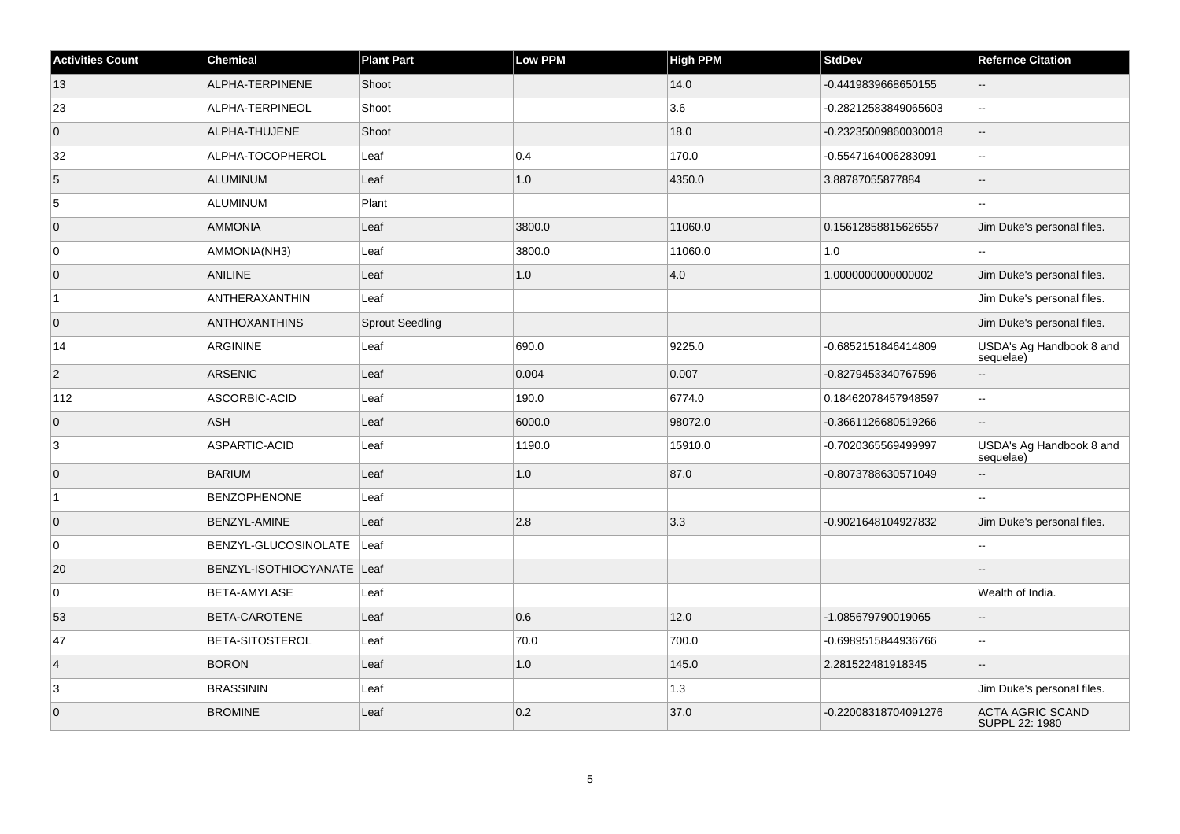| <b>Activities Count</b> | <b>Chemical</b>              | <b>Plant Part</b>      | Low PPM | <b>High PPM</b> | <b>StdDev</b>        | <b>Refernce Citation</b>              |
|-------------------------|------------------------------|------------------------|---------|-----------------|----------------------|---------------------------------------|
| 13                      | ALPHA-TERPINENE              | Shoot                  |         | 14.0            | -0.4419839668650155  | $-$                                   |
| 23                      | ALPHA-TERPINEOL              | Shoot                  |         | 3.6             | -0.28212583849065603 | L.                                    |
| $\overline{0}$          | ALPHA-THUJENE                | Shoot                  |         | 18.0            | -0.23235009860030018 | Ξ.                                    |
| 32                      | ALPHA-TOCOPHEROL             | Leaf                   | 0.4     | 170.0           | -0.5547164006283091  | $\overline{a}$                        |
| $\overline{5}$          | <b>ALUMINUM</b>              | Leaf                   | $1.0$   | 4350.0          | 3.88787055877884     | L.                                    |
| 5                       | ALUMINUM                     | Plant                  |         |                 |                      | $\sim$                                |
| $\overline{0}$          | AMMONIA                      | Leaf                   | 3800.0  | 11060.0         | 0.15612858815626557  | Jim Duke's personal files.            |
| $\overline{0}$          | AMMONIA(NH3)                 | Leaf                   | 3800.0  | 11060.0         | 1.0                  | Ξ.                                    |
| $\overline{0}$          | <b>ANILINE</b>               | Leaf                   | $1.0\,$ | 4.0             | 1.0000000000000002   | Jim Duke's personal files.            |
| $\overline{1}$          | ANTHERAXANTHIN               | Leaf                   |         |                 |                      | Jim Duke's personal files.            |
| $\overline{0}$          | <b>ANTHOXANTHINS</b>         | <b>Sprout Seedling</b> |         |                 |                      | Jim Duke's personal files.            |
| 14                      | <b>ARGININE</b>              | Leaf                   | 690.0   | 9225.0          | -0.6852151846414809  | USDA's Ag Handbook 8 and<br>sequelae) |
| $\overline{2}$          | <b>ARSENIC</b>               | Leaf                   | 0.004   | 0.007           | -0.8279453340767596  |                                       |
| 112                     | ASCORBIC-ACID                | Leaf                   | 190.0   | 6774.0          | 0.18462078457948597  | Ξ.                                    |
| $\overline{0}$          | <b>ASH</b>                   | Leaf                   | 6000.0  | 98072.0         | -0.3661126680519266  |                                       |
| 3                       | ASPARTIC-ACID                | Leaf                   | 1190.0  | 15910.0         | -0.7020365569499997  | USDA's Ag Handbook 8 and<br>sequelae) |
| $\overline{0}$          | <b>BARIUM</b>                | Leaf                   | $1.0$   | 87.0            | -0.8073788630571049  | $\overline{a}$                        |
| $\overline{1}$          | <b>BENZOPHENONE</b>          | Leaf                   |         |                 |                      |                                       |
| $\overline{0}$          | BENZYL-AMINE                 | Leaf                   | 2.8     | 3.3             | -0.9021648104927832  | Jim Duke's personal files.            |
| $\overline{0}$          | BENZYL-GLUCOSINOLATE         | Leaf                   |         |                 |                      | $\overline{\phantom{a}}$              |
| 20                      | BENZYL-ISOTHIOCYANATE   Leaf |                        |         |                 |                      |                                       |
| $\overline{0}$          | BETA-AMYLASE                 | Leaf                   |         |                 |                      | Wealth of India.                      |
| 53                      | BETA-CAROTENE                | Leaf                   | 0.6     | 12.0            | -1.085679790019065   | Ξ.                                    |
| 47                      | <b>BETA-SITOSTEROL</b>       | Leaf                   | 70.0    | 700.0           | -0.6989515844936766  | Ξ.                                    |
| $\vert$ 4               | <b>BORON</b>                 | Leaf                   | $1.0\,$ | 145.0           | 2.281522481918345    | $\overline{a}$                        |
| 3                       | <b>BRASSININ</b>             | Leaf                   |         | $1.3$           |                      | Jim Duke's personal files.            |
| $\overline{0}$          | <b>BROMINE</b>               | Leaf                   | 0.2     | 37.0            | -0.22008318704091276 | ACTA AGRIC SCAND<br>SUPPL 22: 1980    |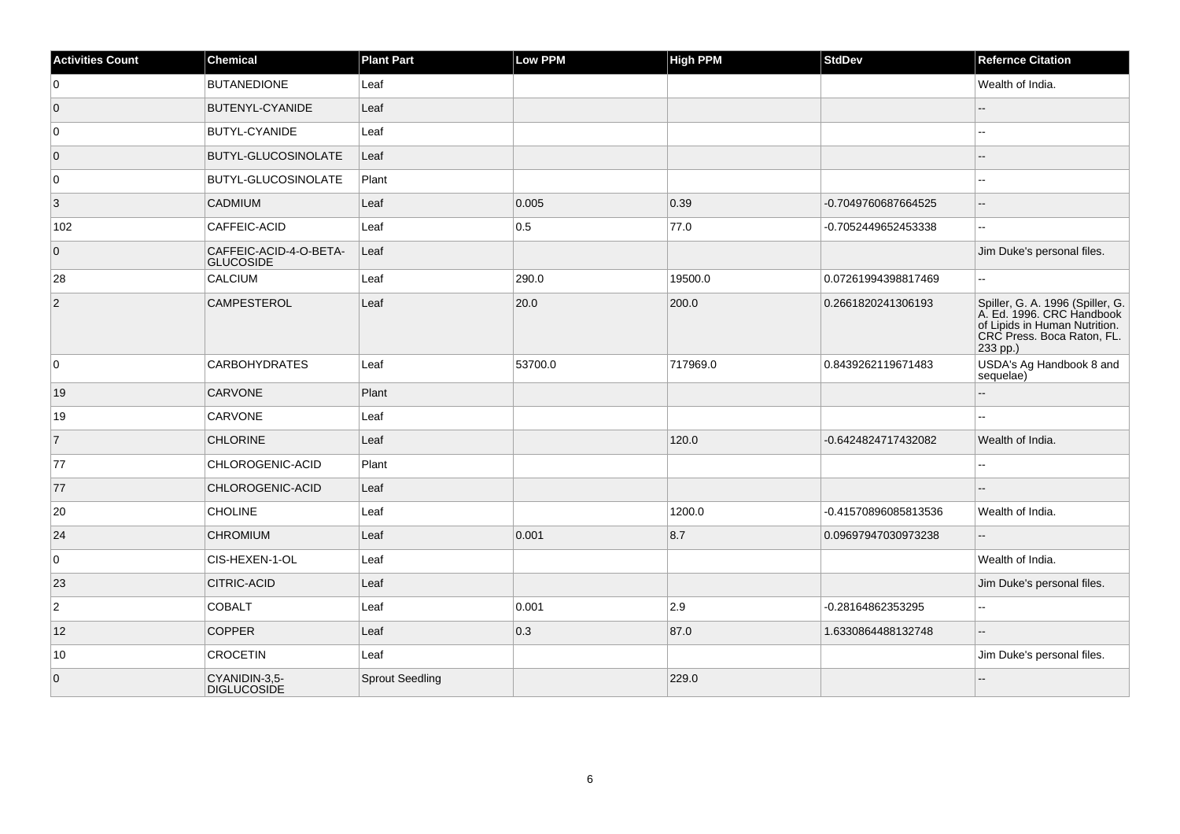| <b>Activities Count</b> | Chemical                                   | <b>Plant Part</b>      | Low PPM | <b>High PPM</b> | <b>StdDev</b>        | <b>Refernce Citation</b>                                                                                                                 |
|-------------------------|--------------------------------------------|------------------------|---------|-----------------|----------------------|------------------------------------------------------------------------------------------------------------------------------------------|
| 0                       | <b>BUTANEDIONE</b>                         | Leaf                   |         |                 |                      | Wealth of India.                                                                                                                         |
| $\overline{0}$          | BUTENYL-CYANIDE                            | Leaf                   |         |                 |                      |                                                                                                                                          |
| 0                       | <b>BUTYL-CYANIDE</b>                       | Leaf                   |         |                 |                      | Щ,                                                                                                                                       |
| $\overline{0}$          | <b>BUTYL-GLUCOSINOLATE</b>                 | Leaf                   |         |                 |                      | --                                                                                                                                       |
| $\overline{0}$          | <b>BUTYL-GLUCOSINOLATE</b>                 | Plant                  |         |                 |                      | --                                                                                                                                       |
| 3                       | <b>CADMIUM</b>                             | Leaf                   | 0.005   | 0.39            | -0.7049760687664525  | --                                                                                                                                       |
| 102                     | CAFFEIC-ACID                               | Leaf                   | 0.5     | 77.0            | -0.7052449652453338  | $\overline{\phantom{a}}$                                                                                                                 |
| $\overline{0}$          | CAFFEIC-ACID-4-O-BETA-<br><b>GLUCOSIDE</b> | Leaf                   |         |                 |                      | Jim Duke's personal files.                                                                                                               |
| 28                      | CALCIUM                                    | Leaf                   | 290.0   | 19500.0         | 0.07261994398817469  | Щ,                                                                                                                                       |
| $ 2\rangle$             | <b>CAMPESTEROL</b>                         | Leaf                   | 20.0    | 200.0           | 0.2661820241306193   | Spiller, G. A. 1996 (Spiller, G.<br>A. Ed. 1996. CRC Handbook<br>of Lipids in Human Nutrition.<br>CRC Press. Boca Raton, FL.<br>233 pp.) |
| 0                       | <b>CARBOHYDRATES</b>                       | Leaf                   | 53700.0 | 717969.0        | 0.8439262119671483   | USDA's Ag Handbook 8 and<br>sequelae)                                                                                                    |
| 19                      | <b>CARVONE</b>                             | Plant                  |         |                 |                      | ۵.                                                                                                                                       |
| 19                      | CARVONE                                    | Leaf                   |         |                 |                      | $\overline{\phantom{a}}$                                                                                                                 |
| $\overline{7}$          | <b>CHLORINE</b>                            | Leaf                   |         | 120.0           | -0.6424824717432082  | Wealth of India.                                                                                                                         |
| 77                      | CHLOROGENIC-ACID                           | Plant                  |         |                 |                      | --                                                                                                                                       |
| 77                      | CHLOROGENIC-ACID                           | Leaf                   |         |                 |                      | $-$                                                                                                                                      |
| 20                      | <b>CHOLINE</b>                             | Leaf                   |         | 1200.0          | -0.41570896085813536 | Wealth of India.                                                                                                                         |
| 24                      | <b>CHROMIUM</b>                            | Leaf                   | 0.001   | 8.7             | 0.09697947030973238  | $\overline{\phantom{a}}$                                                                                                                 |
| $\overline{0}$          | CIS-HEXEN-1-OL                             | Leaf                   |         |                 |                      | Wealth of India.                                                                                                                         |
| 23                      | <b>CITRIC-ACID</b>                         | Leaf                   |         |                 |                      | Jim Duke's personal files.                                                                                                               |
| $\overline{2}$          | <b>COBALT</b>                              | Leaf                   | 0.001   | 2.9             | -0.28164862353295    | $\overline{\phantom{a}}$                                                                                                                 |
| 12                      | <b>COPPER</b>                              | Leaf                   | 0.3     | 87.0            | 1.6330864488132748   | $-$                                                                                                                                      |
| 10                      | <b>CROCETIN</b>                            | Leaf                   |         |                 |                      | Jim Duke's personal files.                                                                                                               |
| $\overline{0}$          | CYANIDIN-3,5-<br><b>DIGLUCOSIDE</b>        | <b>Sprout Seedling</b> |         | 229.0           |                      |                                                                                                                                          |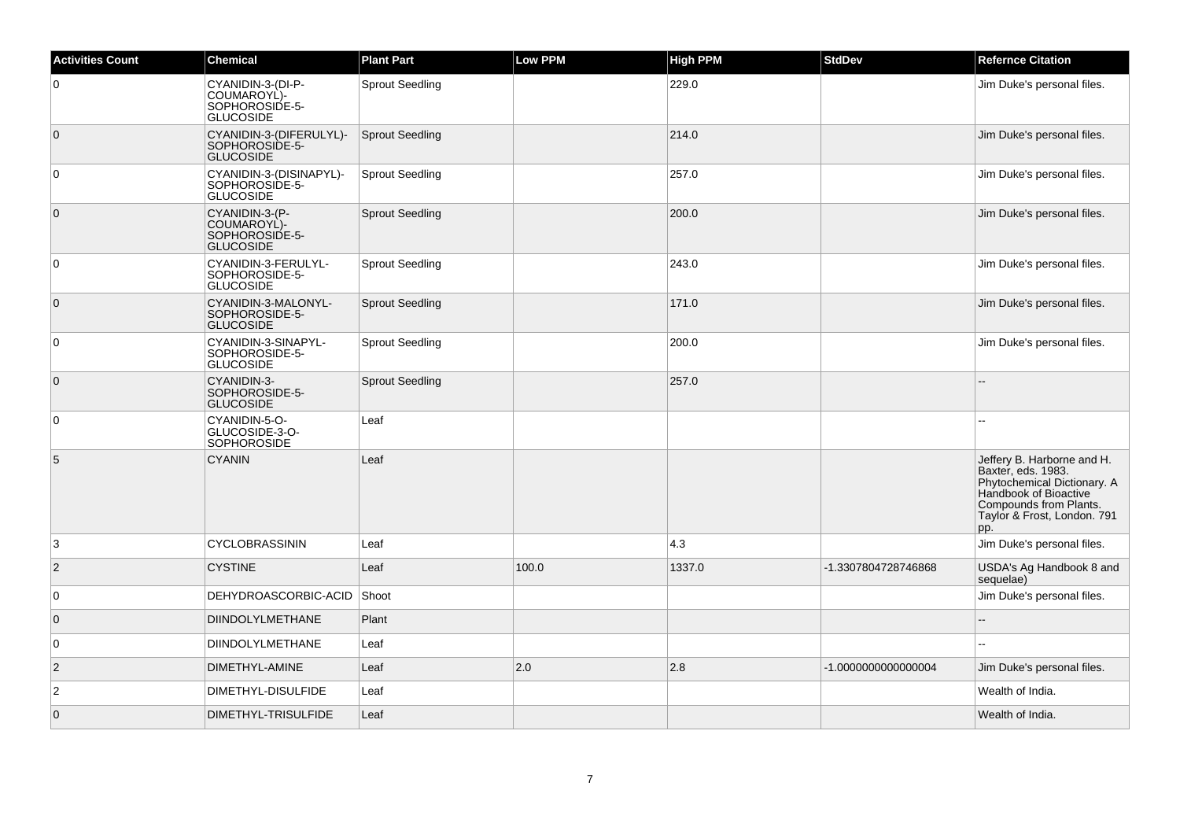| <b>Activities Count</b> | <b>Chemical</b>                                                        | <b>Plant Part</b>      | Low PPM | <b>High PPM</b> | <b>StdDev</b>       | <b>Refernce Citation</b>                                                                                                                                                 |
|-------------------------|------------------------------------------------------------------------|------------------------|---------|-----------------|---------------------|--------------------------------------------------------------------------------------------------------------------------------------------------------------------------|
| 0                       | CYANIDIN-3-(DI-P-<br>COUMAROYL)-<br>SOPHOROSIDE-5-<br><b>GLUCOSIDE</b> | <b>Sprout Seedling</b> |         | 229.0           |                     | Jim Duke's personal files.                                                                                                                                               |
| $\overline{0}$          | CYANIDIN-3-(DIFERULYL)-<br>SOPHOROSIDE-5-<br><b>GLUCOSIDE</b>          | Sprout Seedling        |         | 214.0           |                     | Jim Duke's personal files.                                                                                                                                               |
| 0                       | CYANIDIN-3-(DISINAPYL)-<br>SOPHOROSIDE-5-<br><b>GLUCOSIDE</b>          | <b>Sprout Seedling</b> |         | 257.0           |                     | Jim Duke's personal files.                                                                                                                                               |
| $\overline{0}$          | CYANIDIN-3-(P-<br>COUMAROYL)-<br>SOPHOROSIDE-5-<br>GLUCOSIDE           | <b>Sprout Seedling</b> |         | 200.0           |                     | Jim Duke's personal files.                                                                                                                                               |
| $\overline{0}$          | CYANIDIN-3-FERULYL-<br>SOPHOROSIDE-5-<br>GLUCOSIDE                     | <b>Sprout Seedling</b> |         | 243.0           |                     | Jim Duke's personal files.                                                                                                                                               |
| $\overline{0}$          | CYANIDIN-3-MALONYL-<br>SOPHOROSIDE-5-<br><b>GLUCOSIDE</b>              | <b>Sprout Seedling</b> |         | 171.0           |                     | Jim Duke's personal files.                                                                                                                                               |
| 0                       | CYANIDIN-3-SINAPYL-<br>SOPHOROSIDE-5-<br><b>GLUCOSIDE</b>              | <b>Sprout Seedling</b> |         | 200.0           |                     | Jim Duke's personal files.                                                                                                                                               |
| $\overline{0}$          | CYANIDIN-3-<br>SOPHOROSIDE-5-<br><b>GLUCOSIDE</b>                      | <b>Sprout Seedling</b> |         | 257.0           |                     |                                                                                                                                                                          |
| $\overline{0}$          | CYANIDIN-5-O-<br>GLUCOSIDE-3-O-<br>SOPHOROSIDE                         | Leaf                   |         |                 |                     |                                                                                                                                                                          |
| 5                       | <b>CYANIN</b>                                                          | Leaf                   |         |                 |                     | Jeffery B. Harborne and H.<br>Baxter, eds. 1983.<br>Phytochemical Dictionary. A<br>Handbook of Bioactive<br>Compounds from Plants.<br>Taylor & Frost, London. 791<br>pp. |
| 3                       | <b>CYCLOBRASSININ</b>                                                  | Leaf                   |         | 4.3             |                     | Jim Duke's personal files.                                                                                                                                               |
| $\overline{2}$          | <b>CYSTINE</b>                                                         | Leaf                   | 100.0   | 1337.0          | -1.3307804728746868 | USDA's Ag Handbook 8 and<br>sequelae)                                                                                                                                    |
| $\overline{0}$          | DEHYDROASCORBIC-ACID                                                   | Shoot                  |         |                 |                     | Jim Duke's personal files.                                                                                                                                               |
| $\overline{0}$          | <b>DIINDOLYLMETHANE</b>                                                | Plant                  |         |                 |                     |                                                                                                                                                                          |
| $\overline{0}$          | <b>DIINDOLYLMETHANE</b>                                                | Leaf                   |         |                 |                     |                                                                                                                                                                          |
| $\vert$ 2               | DIMETHYL-AMINE                                                         | Leaf                   | 2.0     | 2.8             | -1.0000000000000004 | Jim Duke's personal files.                                                                                                                                               |
| $\overline{2}$          | DIMETHYL-DISULFIDE                                                     | Leaf                   |         |                 |                     | Wealth of India.                                                                                                                                                         |
| $\overline{0}$          | DIMETHYL-TRISULFIDE                                                    | Leaf                   |         |                 |                     | Wealth of India.                                                                                                                                                         |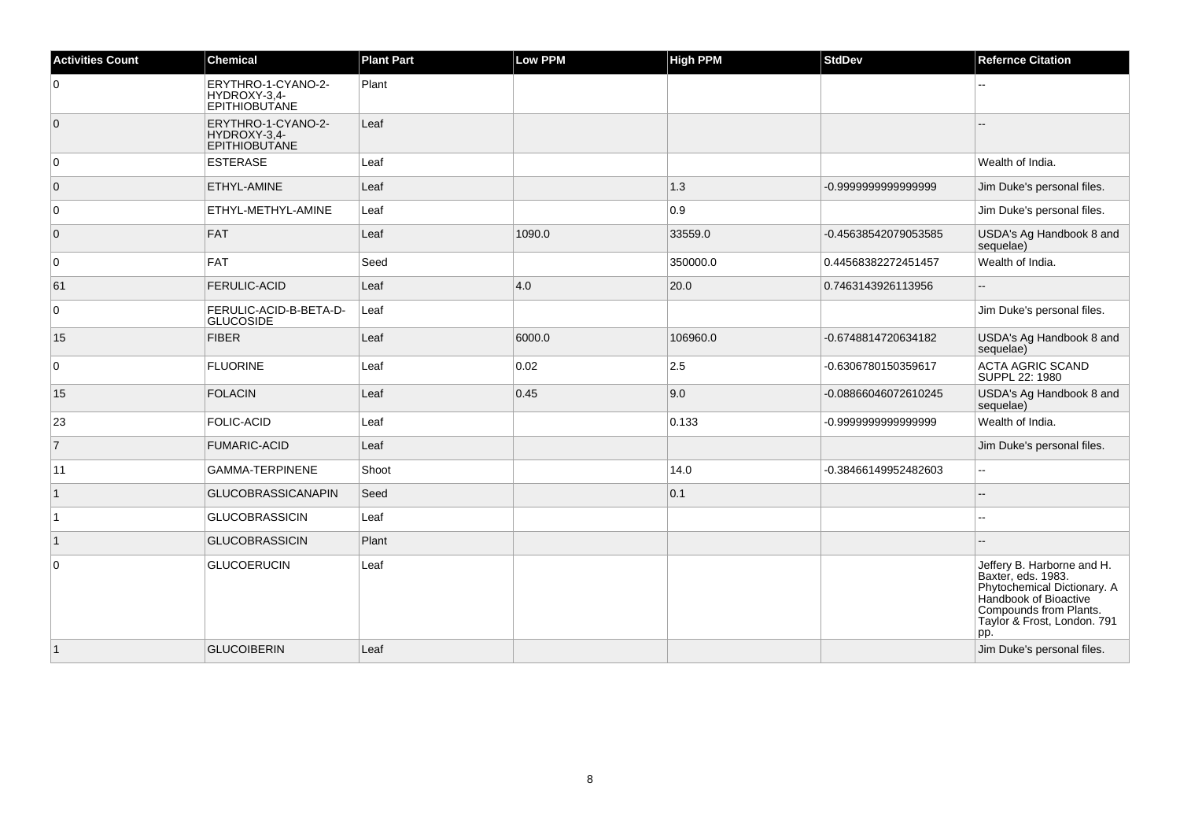| <b>Activities Count</b> | <b>Chemical</b>                                            | <b>Plant Part</b> | <b>Low PPM</b> | <b>High PPM</b> | <b>StdDev</b>        | <b>Refernce Citation</b>                                                                                                                                                 |
|-------------------------|------------------------------------------------------------|-------------------|----------------|-----------------|----------------------|--------------------------------------------------------------------------------------------------------------------------------------------------------------------------|
| 0                       | ERYTHRO-1-CYANO-2-<br>HYDROXY-3,4-<br><b>EPITHIOBUTANE</b> | Plant             |                |                 |                      |                                                                                                                                                                          |
| $\overline{0}$          | ERYTHRO-1-CYANO-2-<br>HYDROXY-3,4-<br><b>EPITHIOBUTANE</b> | Leaf              |                |                 |                      |                                                                                                                                                                          |
| 0                       | ESTERASE                                                   | Leaf              |                |                 |                      | Wealth of India.                                                                                                                                                         |
| $\overline{0}$          | <b>ETHYL-AMINE</b>                                         | Leaf              |                | 1.3             | -0.9999999999999999  | Jim Duke's personal files.                                                                                                                                               |
| 0                       | <b>ETHYL-METHYL-AMINE</b>                                  | Leaf              |                | 0.9             |                      | Jim Duke's personal files.                                                                                                                                               |
| $\overline{0}$          | FAT                                                        | Leaf              | 1090.0         | 33559.0         | -0.45638542079053585 | USDA's Ag Handbook 8 and<br>sequelae)                                                                                                                                    |
| 0                       | FAT                                                        | Seed              |                | 350000.0        | 0.44568382272451457  | Wealth of India.                                                                                                                                                         |
| 61                      | <b>FERULIC-ACID</b>                                        | Leaf              | 4.0            | 20.0            | 0.7463143926113956   | --                                                                                                                                                                       |
| $\pmb{0}$               | FERULIC-ACID-B-BETA-D-<br><b>GLUCOSIDE</b>                 | Leaf              |                |                 |                      | Jim Duke's personal files.                                                                                                                                               |
| 15                      | FIBER                                                      | Leaf              | 6000.0         | 106960.0        | -0.6748814720634182  | USDA's Ag Handbook 8 and<br>sequelae)                                                                                                                                    |
| $\mathbf 0$             | <b>FLUORINE</b>                                            | Leaf              | 0.02           | 2.5             | -0.6306780150359617  | ACTA AGRIC SCAND<br>SUPPL 22: 1980                                                                                                                                       |
| 15                      | <b>FOLACIN</b>                                             | Leaf              | 0.45           | 9.0             | -0.08866046072610245 | USDA's Ag Handbook 8 and<br>sequelae)                                                                                                                                    |
| 23                      | <b>FOLIC-ACID</b>                                          | Leaf              |                | 0.133           | -0.9999999999999999  | Wealth of India.                                                                                                                                                         |
| $\overline{7}$          | <b>FUMARIC-ACID</b>                                        | Leaf              |                |                 |                      | Jim Duke's personal files.                                                                                                                                               |
| 11                      | <b>GAMMA-TERPINENE</b>                                     | Shoot             |                | 14.0            | -0.38466149952482603 | Ξ.                                                                                                                                                                       |
| $\mathbf{1}$            | <b>GLUCOBRASSICANAPIN</b>                                  | Seed              |                | 0.1             |                      | $-$                                                                                                                                                                      |
| ∣1                      | <b>GLUCOBRASSICIN</b>                                      | Leaf              |                |                 |                      |                                                                                                                                                                          |
| $\vert$ 1               | <b>GLUCOBRASSICIN</b>                                      | Plant             |                |                 |                      |                                                                                                                                                                          |
| $\mathbf 0$             | <b>GLUCOERUCIN</b>                                         | Leaf              |                |                 |                      | Jeffery B. Harborne and H.<br>Baxter, eds. 1983.<br>Phytochemical Dictionary. A<br>Handbook of Bioactive<br>Compounds from Plants.<br>Taylor & Frost, London. 791<br>pp. |
| $\vert$ 1               | <b>GLUCOIBERIN</b>                                         | Leaf              |                |                 |                      | Jim Duke's personal files.                                                                                                                                               |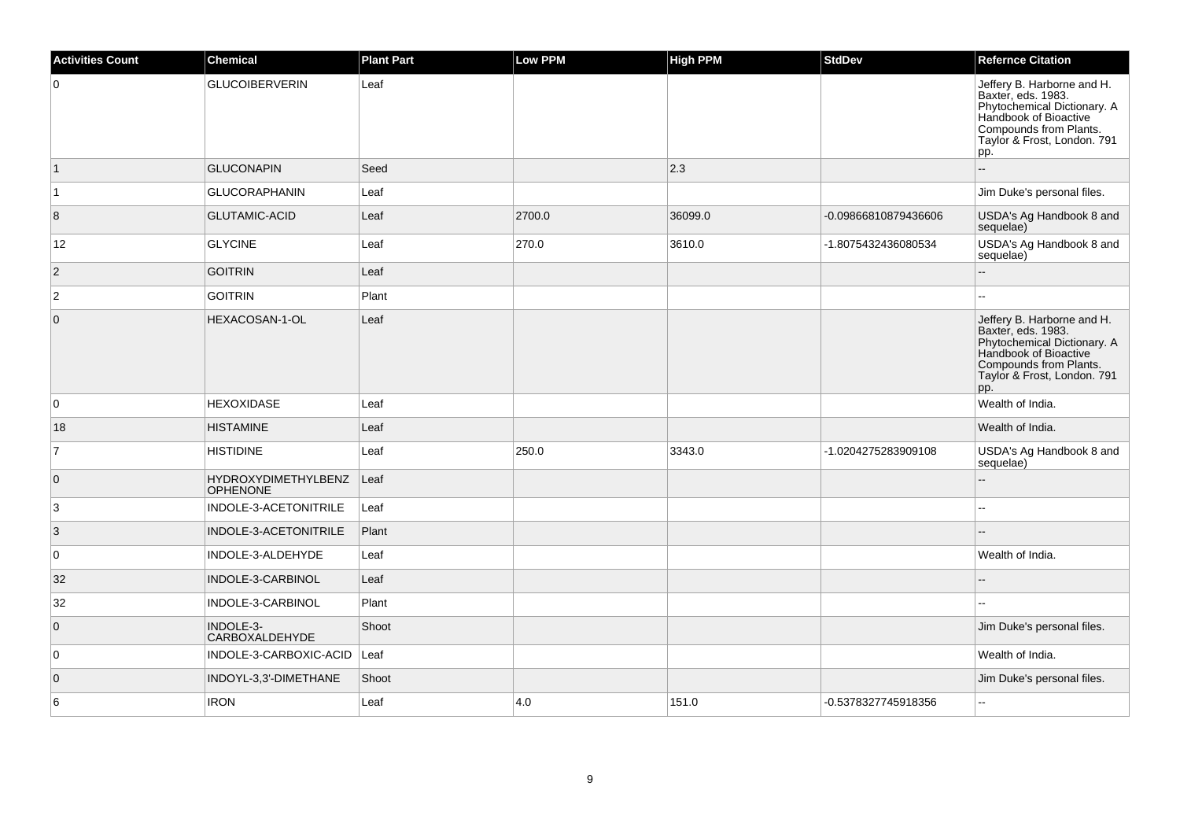| <b>Activities Count</b> | <b>Chemical</b>                        | <b>Plant Part</b> | <b>Low PPM</b> | High PPM | <b>StdDev</b>        | <b>Refernce Citation</b>                                                                                                                                                 |
|-------------------------|----------------------------------------|-------------------|----------------|----------|----------------------|--------------------------------------------------------------------------------------------------------------------------------------------------------------------------|
| 0                       | <b>GLUCOIBERVERIN</b>                  | Leaf              |                |          |                      | Jeffery B. Harborne and H.<br>Baxter, eds. 1983.<br>Phytochemical Dictionary. A<br>Handbook of Bioactive<br>Compounds from Plants.<br>Taylor & Frost, London. 791<br>pp. |
| $\vert$ 1               | <b>GLUCONAPIN</b>                      | Seed              |                | 2.3      |                      |                                                                                                                                                                          |
| $\vert$ 1               | <b>GLUCORAPHANIN</b>                   | Leaf              |                |          |                      | Jim Duke's personal files.                                                                                                                                               |
| 8                       | <b>GLUTAMIC-ACID</b>                   | Leaf              | 2700.0         | 36099.0  | -0.09866810879436606 | USDA's Ag Handbook 8 and<br>sequelae)                                                                                                                                    |
| 12                      | <b>GLYCINE</b>                         | Leaf              | 270.0          | 3610.0   | -1.8075432436080534  | USDA's Ag Handbook 8 and<br>sequelae)                                                                                                                                    |
| $\vert$ 2               | <b>GOITRIN</b>                         | Leaf              |                |          |                      |                                                                                                                                                                          |
| $\boldsymbol{2}$        | <b>GOITRIN</b>                         | Plant             |                |          |                      |                                                                                                                                                                          |
| $\mathbf{0}$            | HEXACOSAN-1-OL                         | Leaf              |                |          |                      | Jeffery B. Harborne and H.<br>Baxter, eds. 1983.<br>Phytochemical Dictionary. A<br>Handbook of Bioactive<br>Compounds from Plants.<br>Taylor & Frost, London. 791<br>pp. |
| 0                       | <b>HEXOXIDASE</b>                      | Leaf              |                |          |                      | Wealth of India.                                                                                                                                                         |
| 18                      | <b>HISTAMINE</b>                       | Leaf              |                |          |                      | Wealth of India.                                                                                                                                                         |
| 7                       | <b>HISTIDINE</b>                       | Leaf              | 250.0          | 3343.0   | -1.0204275283909108  | USDA's Ag Handbook 8 and<br>sequelae)                                                                                                                                    |
| 0                       | HYDROXYDIMETHYLBENZ<br><b>OPHENONE</b> | Leaf              |                |          |                      | $\sim$                                                                                                                                                                   |
| 3                       | INDOLE-3-ACETONITRILE                  | Leaf              |                |          |                      |                                                                                                                                                                          |
| 3                       | INDOLE-3-ACETONITRILE                  | Plant             |                |          |                      |                                                                                                                                                                          |
| $\mathbf 0$             | INDOLE-3-ALDEHYDE                      | Leaf              |                |          |                      | Wealth of India.                                                                                                                                                         |
| 32                      | INDOLE-3-CARBINOL                      | Leaf              |                |          |                      |                                                                                                                                                                          |
| 32                      | INDOLE-3-CARBINOL                      | Plant             |                |          |                      | $\sim$                                                                                                                                                                   |
| $\overline{0}$          | INDOLE-3-<br>CARBOXALDEHYDE            | Shoot             |                |          |                      | Jim Duke's personal files.                                                                                                                                               |
| $\mathbf 0$             | INDOLE-3-CARBOXIC-ACID                 | Leaf              |                |          |                      | Wealth of India.                                                                                                                                                         |
| $\overline{0}$          | INDOYL-3,3'-DIMETHANE                  | Shoot             |                |          |                      | Jim Duke's personal files.                                                                                                                                               |
| 6                       | <b>IRON</b>                            | Leaf              | 4.0            | 151.0    | -0.5378327745918356  | $\sim$                                                                                                                                                                   |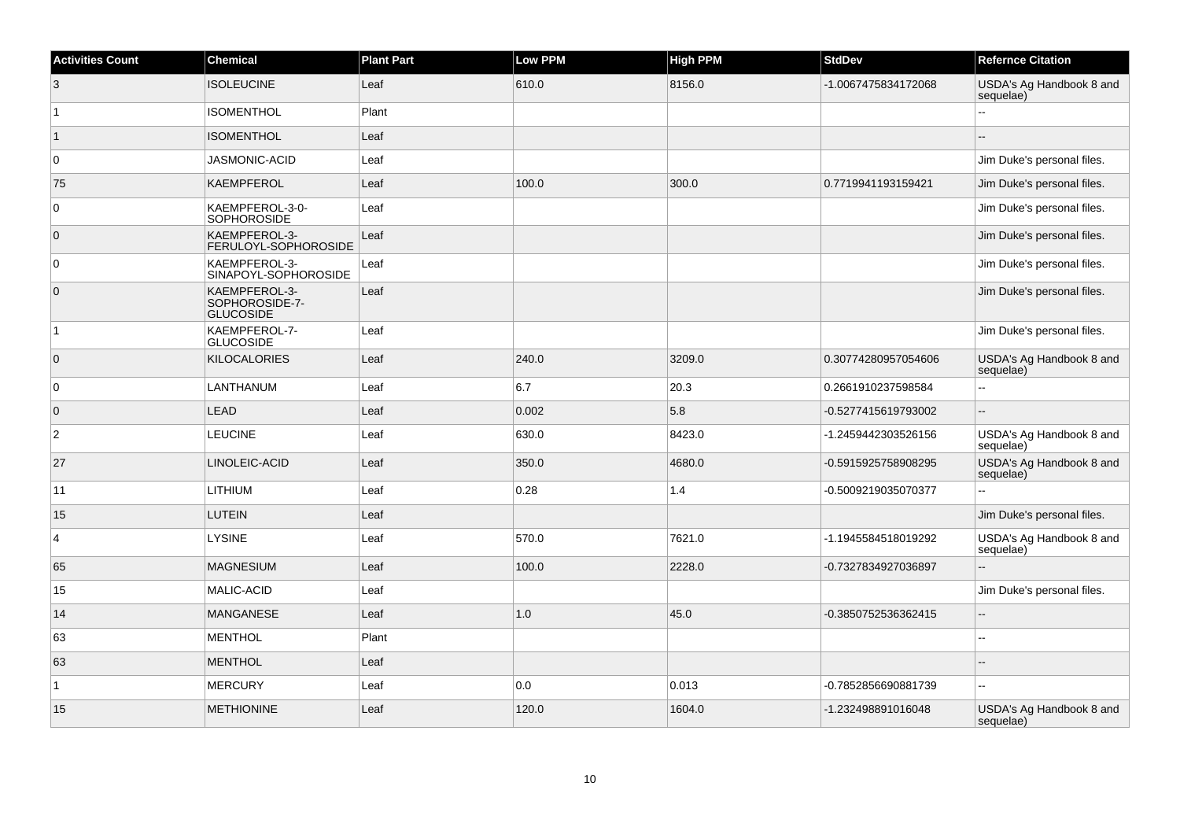| <b>Activities Count</b> | <b>Chemical</b>                                     | <b>Plant Part</b> | <b>Low PPM</b> | <b>High PPM</b> | <b>StdDev</b>       | <b>Refernce Citation</b>              |
|-------------------------|-----------------------------------------------------|-------------------|----------------|-----------------|---------------------|---------------------------------------|
| 3                       | <b>ISOLEUCINE</b>                                   | Leaf              | 610.0          | 8156.0          | -1.0067475834172068 | USDA's Ag Handbook 8 and<br>sequelae) |
| $\overline{1}$          | <b>ISOMENTHOL</b>                                   | Plant             |                |                 |                     | $\overline{a}$                        |
| $\vert$ 1               | <b>ISOMENTHOL</b>                                   | Leaf              |                |                 |                     |                                       |
| $\overline{0}$          | JASMONIC-ACID                                       | Leaf              |                |                 |                     | Jim Duke's personal files.            |
| 75                      | <b>KAEMPFEROL</b>                                   | Leaf              | 100.0          | 300.0           | 0.7719941193159421  | Jim Duke's personal files.            |
| $\overline{0}$          | KAEMPFEROL-3-0-<br>SOPHOROSIDE                      | Leaf              |                |                 |                     | Jim Duke's personal files.            |
| $\overline{0}$          | KAEMPFEROL-3-<br>FERULOYL-SOPHOROSIDE               | Leaf              |                |                 |                     | Jim Duke's personal files.            |
| $\overline{0}$          | KAEMPFEROL-3-<br>SINAPOYL-SOPHOROSIDE               | Leaf              |                |                 |                     | Jim Duke's personal files.            |
| $\overline{0}$          | KAEMPFEROL-3-<br>SOPHOROSIDE-7-<br><b>GLUCOSIDE</b> | Leaf              |                |                 |                     | Jim Duke's personal files.            |
| $\vert$ 1               | KAEMPFEROL-7-<br><b>GLUCOSIDE</b>                   | Leaf              |                |                 |                     | Jim Duke's personal files.            |
| $\overline{0}$          | <b>KILOCALORIES</b>                                 | Leaf              | 240.0          | 3209.0          | 0.30774280957054606 | USDA's Ag Handbook 8 and<br>sequelae) |
| $\overline{0}$          | LANTHANUM                                           | Leaf              | 6.7            | 20.3            | 0.2661910237598584  | $\overline{a}$                        |
| $\overline{0}$          | <b>LEAD</b>                                         | Leaf              | 0.002          | 5.8             | -0.5277415619793002 | ÷.                                    |
| $\overline{2}$          | <b>LEUCINE</b>                                      | Leaf              | 630.0          | 8423.0          | -1.2459442303526156 | USDA's Ag Handbook 8 and<br>sequelae) |
| 27                      | LINOLEIC-ACID                                       | Leaf              | 350.0          | 4680.0          | -0.5915925758908295 | USDA's Ag Handbook 8 and<br>sequelae) |
| 11                      | <b>LITHIUM</b>                                      | Leaf              | 0.28           | 1.4             | -0.5009219035070377 |                                       |
| 15                      | <b>LUTEIN</b>                                       | Leaf              |                |                 |                     | Jim Duke's personal files.            |
| $\overline{4}$          | <b>LYSINE</b>                                       | Leaf              | 570.0          | 7621.0          | -1.1945584518019292 | USDA's Ag Handbook 8 and<br>sequelae) |
| 65                      | <b>MAGNESIUM</b>                                    | Leaf              | 100.0          | 2228.0          | -0.7327834927036897 | ż.                                    |
| 15                      | MALIC-ACID                                          | Leaf              |                |                 |                     | Jim Duke's personal files.            |
| 14                      | <b>MANGANESE</b>                                    | Leaf              | 1.0            | 45.0            | -0.3850752536362415 | $\overline{\phantom{a}}$              |
| 63                      | <b>MENTHOL</b>                                      | Plant             |                |                 |                     | ц,                                    |
| 63                      | <b>MENTHOL</b>                                      | Leaf              |                |                 |                     |                                       |
| $\overline{1}$          | <b>MERCURY</b>                                      | Leaf              | 0.0            | 0.013           | -0.7852856690881739 | Щ,                                    |
| 15                      | <b>METHIONINE</b>                                   | Leaf              | 120.0          | 1604.0          | -1.232498891016048  | USDA's Ag Handbook 8 and<br>sequelae) |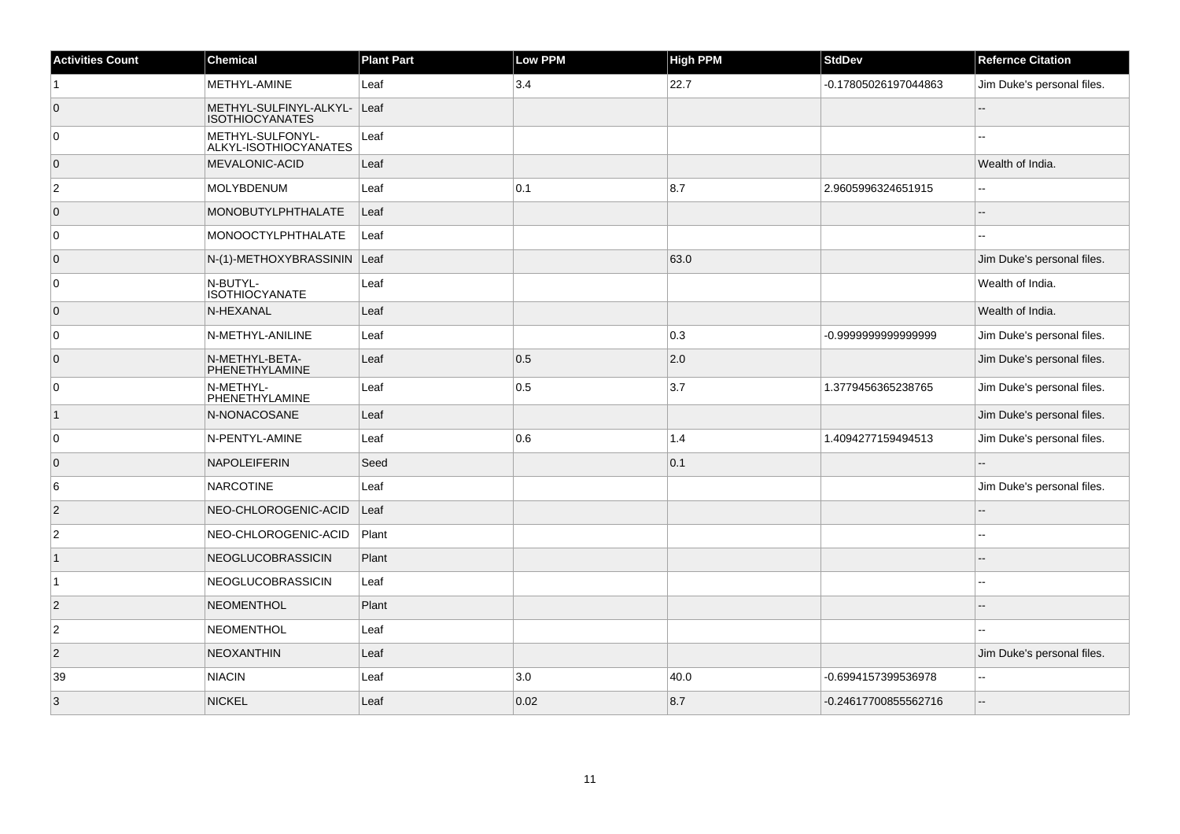| <b>Activities Count</b> | <b>Chemical</b>                                       | <b>Plant Part</b> | <b>Low PPM</b> | <b>High PPM</b> | <b>StdDev</b>        | <b>Refernce Citation</b>   |
|-------------------------|-------------------------------------------------------|-------------------|----------------|-----------------|----------------------|----------------------------|
| 1                       | METHYL-AMINE                                          | Leaf              | 3.4            | 22.7            | -0.17805026197044863 | Jim Duke's personal files. |
| $\overline{0}$          | METHYL-SULFINYL-ALKYL- Leaf<br><b>ISOTHIOCYANATES</b> |                   |                |                 |                      |                            |
| 0                       | METHYL-SULFONYL-<br>ALKYL-ISOTHIOCYANATES             | Leaf              |                |                 |                      |                            |
| $\overline{0}$          | <b>MEVALONIC-ACID</b>                                 | Leaf              |                |                 |                      | Wealth of India.           |
| $\overline{2}$          | MOLYBDENUM                                            | Leaf              | 0.1            | 8.7             | 2.9605996324651915   | $\overline{a}$             |
| $\overline{0}$          | <b>MONOBUTYLPHTHALATE</b>                             | Leaf              |                |                 |                      |                            |
| $\overline{0}$          | MONOOCTYLPHTHALATE                                    | Leaf              |                |                 |                      |                            |
| $\overline{0}$          | N-(1)-METHOXYBRASSININ Leaf                           |                   |                | 63.0            |                      | Jim Duke's personal files. |
| 0                       | N-BUTYL-<br><b>ISOTHIOCYANATE</b>                     | Leaf              |                |                 |                      | Wealth of India.           |
| $\overline{0}$          | N-HEXANAL                                             | Leaf              |                |                 |                      | Wealth of India.           |
| $\overline{0}$          | N-METHYL-ANILINE                                      | Leaf              |                | 0.3             | -0.999999999999999   | Jim Duke's personal files. |
| $\overline{0}$          | N-METHYL-BETA-<br>PHENETHYLAMINE                      | Leaf              | 0.5            | 2.0             |                      | Jim Duke's personal files. |
| 0                       | N-METHYL-<br>PHENETHYLAMINE                           | Leaf              | 0.5            | 3.7             | 1.3779456365238765   | Jim Duke's personal files. |
| $\overline{1}$          | N-NONACOSANE                                          | Leaf              |                |                 |                      | Jim Duke's personal files. |
| $\overline{0}$          | N-PENTYL-AMINE                                        | Leaf              | 0.6            | 1.4             | 1.4094277159494513   | Jim Duke's personal files. |
| $\overline{0}$          | <b>NAPOLEIFERIN</b>                                   | Seed              |                | 0.1             |                      | ц,                         |
| 6                       | <b>NARCOTINE</b>                                      | Leaf              |                |                 |                      | Jim Duke's personal files. |
| $\overline{2}$          | NEO-CHLOROGENIC-ACID                                  | Leaf              |                |                 |                      |                            |
| $\overline{2}$          | NEO-CHLOROGENIC-ACID                                  | Plant             |                |                 |                      |                            |
| $\mathbf{1}$            | NEOGLUCOBRASSICIN                                     | Plant             |                |                 |                      |                            |
| $\overline{1}$          | NEOGLUCOBRASSICIN                                     | Leaf              |                |                 |                      |                            |
| $\overline{2}$          | NEOMENTHOL                                            | Plant             |                |                 |                      |                            |
| $\overline{c}$          | <b>NEOMENTHOL</b>                                     | Leaf              |                |                 |                      |                            |
| $\overline{2}$          | <b>NEOXANTHIN</b>                                     | Leaf              |                |                 |                      | Jim Duke's personal files. |
| 39                      | <b>NIACIN</b>                                         | Leaf              | 3.0            | 40.0            | -0.6994157399536978  | --                         |
| $\mathbf{3}$            | <b>NICKEL</b>                                         | Leaf              | 0.02           | 8.7             | -0.24617700855562716 |                            |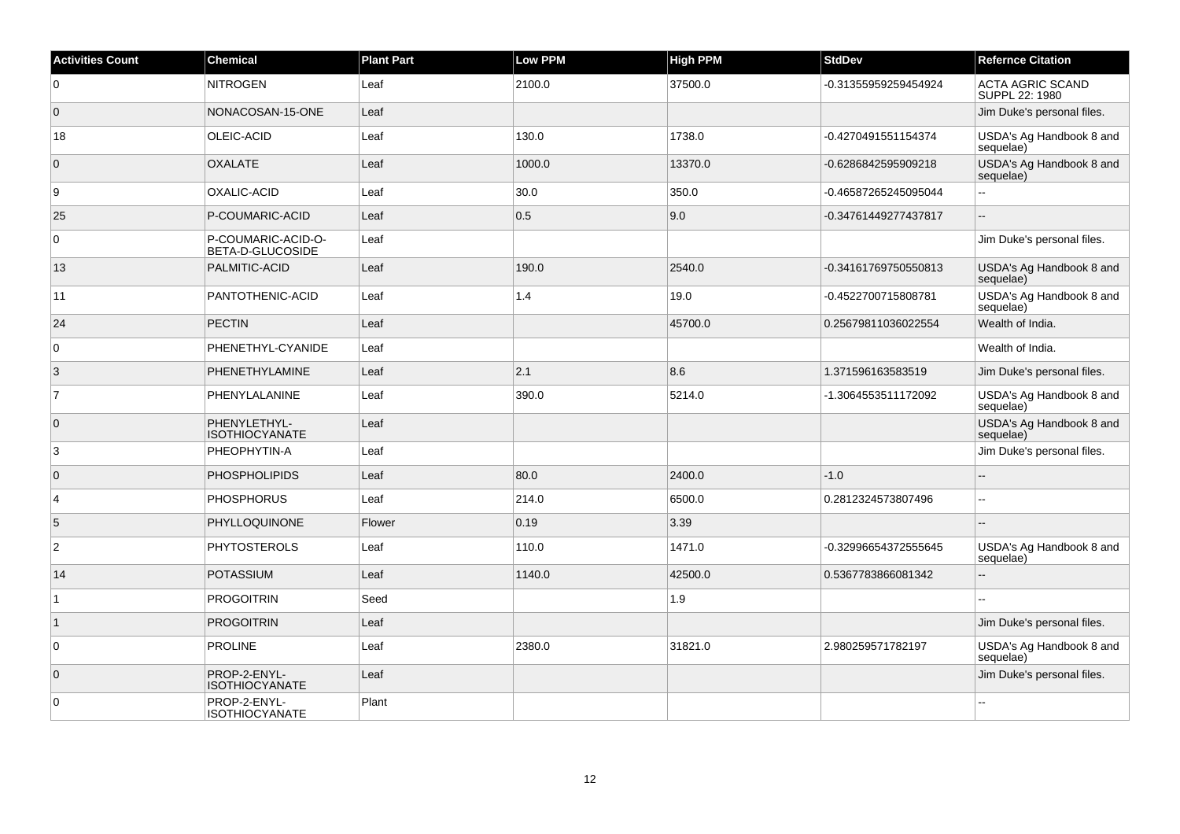| <b>Activities Count</b> | <b>Chemical</b>                        | <b>Plant Part</b> | <b>Low PPM</b> | High PPM | <b>StdDev</b>        | <b>Refernce Citation</b>                  |
|-------------------------|----------------------------------------|-------------------|----------------|----------|----------------------|-------------------------------------------|
| $\overline{0}$          | <b>NITROGEN</b>                        | Leaf              | 2100.0         | 37500.0  | -0.31355959259454924 | <b>ACTA AGRIC SCAND</b><br>SUPPL 22: 1980 |
| $\overline{0}$          | NONACOSAN-15-ONE                       | Leaf              |                |          |                      | Jim Duke's personal files.                |
| 18                      | OLEIC-ACID                             | Leaf              | 130.0          | 1738.0   | -0.4270491551154374  | USDA's Ag Handbook 8 and<br>sequelae)     |
| $\overline{0}$          | <b>OXALATE</b>                         | Leaf              | 1000.0         | 13370.0  | -0.6286842595909218  | USDA's Ag Handbook 8 and<br>sequelae)     |
| 9                       | OXALIC-ACID                            | Leaf              | 30.0           | 350.0    | -0.46587265245095044 | $\overline{a}$                            |
| 25                      | P-COUMARIC-ACID                        | Leaf              | 0.5            | 9.0      | -0.34761449277437817 |                                           |
| $\overline{0}$          | P-COUMARIC-ACID-O-<br>BETA-D-GLUCOSIDE | Leaf              |                |          |                      | Jim Duke's personal files.                |
| 13                      | PALMITIC-ACID                          | Leaf              | 190.0          | 2540.0   | -0.34161769750550813 | USDA's Ag Handbook 8 and<br>sequelae)     |
| 11                      | PANTOTHENIC-ACID                       | Leaf              | 1.4            | 19.0     | -0.4522700715808781  | USDA's Ag Handbook 8 and<br>sequelae)     |
| 24                      | <b>PECTIN</b>                          | Leaf              |                | 45700.0  | 0.25679811036022554  | Wealth of India.                          |
| $\overline{0}$          | PHENETHYL-CYANIDE                      | Leaf              |                |          |                      | Wealth of India.                          |
| 3                       | PHENETHYLAMINE                         | Leaf              | 2.1            | 8.6      | 1.371596163583519    | Jim Duke's personal files.                |
| $\overline{7}$          | PHENYLALANINE                          | Leaf              | 390.0          | 5214.0   | -1.3064553511172092  | USDA's Ag Handbook 8 and<br>sequelae)     |
| $\overline{0}$          | PHENYLETHYL-<br><b>ISOTHIOCYANATE</b>  | Leaf              |                |          |                      | USDA's Ag Handbook 8 and<br>sequelae)     |
| 3                       | PHEOPHYTIN-A                           | Leaf              |                |          |                      | Jim Duke's personal files.                |
| $\overline{0}$          | <b>PHOSPHOLIPIDS</b>                   | Leaf              | 80.0           | 2400.0   | $-1.0$               |                                           |
| $\overline{4}$          | <b>PHOSPHORUS</b>                      | Leaf              | 214.0          | 6500.0   | 0.2812324573807496   | Ξ.                                        |
| 5                       | PHYLLOQUINONE                          | Flower            | 0.19           | 3.39     |                      | $\sim$                                    |
| $\overline{2}$          | <b>PHYTOSTEROLS</b>                    | Leaf              | 110.0          | 1471.0   | -0.32996654372555645 | USDA's Ag Handbook 8 and<br>sequelae)     |
| 14                      | <b>POTASSIUM</b>                       | Leaf              | 1140.0         | 42500.0  | 0.5367783866081342   | ÷.                                        |
| 1                       | <b>PROGOITRIN</b>                      | Seed              |                | 1.9      |                      |                                           |
| $\overline{1}$          | <b>PROGOITRIN</b>                      | Leaf              |                |          |                      | Jim Duke's personal files.                |
| $\overline{0}$          | <b>PROLINE</b>                         | Leaf              | 2380.0         | 31821.0  | 2.980259571782197    | USDA's Ag Handbook 8 and<br>sequelae)     |
| $\overline{0}$          | PROP-2-ENYL-<br><b>ISOTHIOCYANATE</b>  | Leaf              |                |          |                      | Jim Duke's personal files.                |
| $\overline{0}$          | PROP-2-ENYL-<br><b>ISOTHIOCYANATE</b>  | Plant             |                |          |                      |                                           |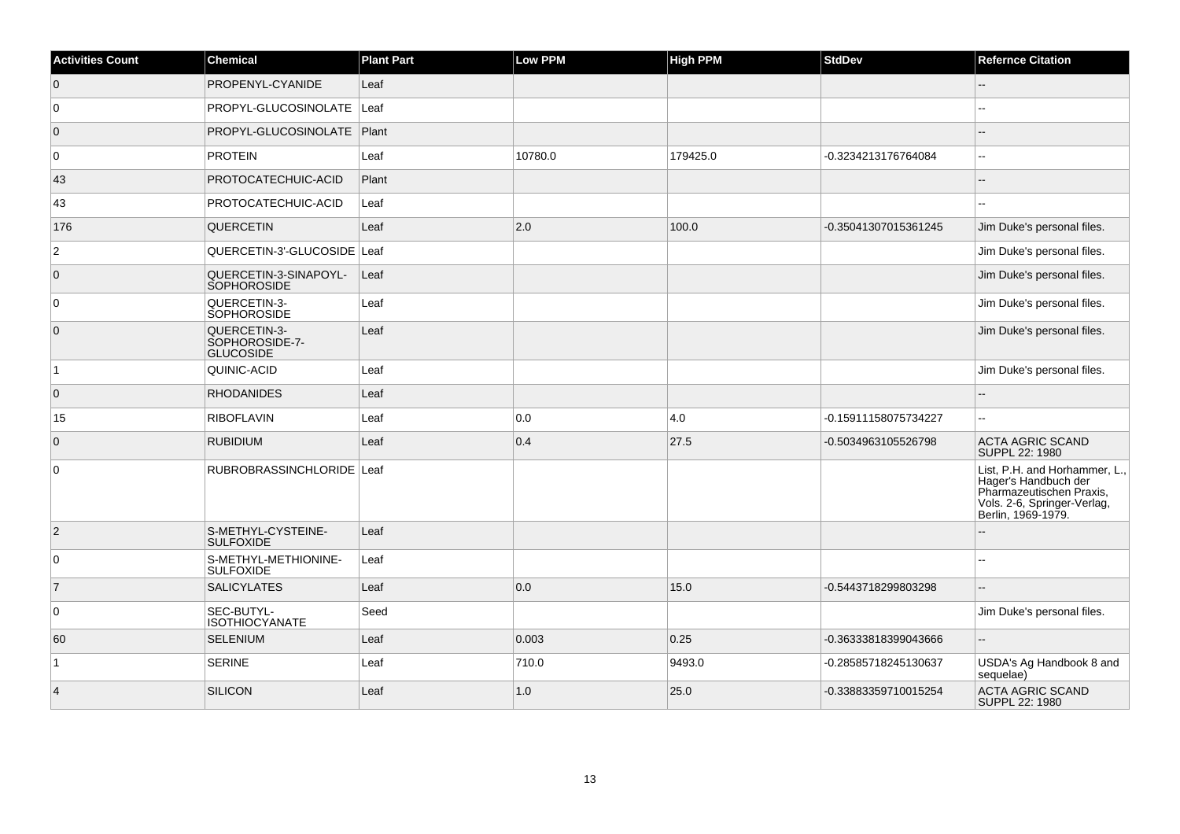| <b>Activities Count</b> | <b>Chemical</b>                                    | <b>Plant Part</b> | Low PPM | <b>High PPM</b> | <b>StdDev</b>        | <b>Refernce Citation</b>                                                                                                               |
|-------------------------|----------------------------------------------------|-------------------|---------|-----------------|----------------------|----------------------------------------------------------------------------------------------------------------------------------------|
| $\overline{0}$          | PROPENYL-CYANIDE                                   | Leaf              |         |                 |                      | --                                                                                                                                     |
| 0                       | PROPYL-GLUCOSINOLATE   Leaf                        |                   |         |                 |                      |                                                                                                                                        |
| $\overline{0}$          | PROPYL-GLUCOSINOLATE   Plant                       |                   |         |                 |                      |                                                                                                                                        |
| 0                       | <b>PROTEIN</b>                                     | Leaf              | 10780.0 | 179425.0        | -0.3234213176764084  | ۵.                                                                                                                                     |
| 43                      | <b>PROTOCATECHUIC-ACID</b>                         | Plant             |         |                 |                      |                                                                                                                                        |
| 43                      | <b>PROTOCATECHUIC-ACID</b>                         | Leaf              |         |                 |                      |                                                                                                                                        |
| 176                     | <b>QUERCETIN</b>                                   | Leaf              | 2.0     | 100.0           | -0.35041307015361245 | Jim Duke's personal files.                                                                                                             |
| $\overline{c}$          | QUERCETIN-3'-GLUCOSIDE Leaf                        |                   |         |                 |                      | Jim Duke's personal files.                                                                                                             |
| $\overline{0}$          | QUERCETIN-3-SINAPOYL-<br>SOPHOROSIDE               | Leaf              |         |                 |                      | Jim Duke's personal files.                                                                                                             |
| $\Omega$                | QUERCETIN-3-<br><b>SOPHOROSIDE</b>                 | Leaf              |         |                 |                      | Jim Duke's personal files.                                                                                                             |
| $\overline{0}$          | QUERCETIN-3-<br>SOPHOROSIDE-7-<br><b>GLUCOSIDE</b> | Leaf              |         |                 |                      | Jim Duke's personal files.                                                                                                             |
| $\mathbf{1}$            | QUINIC-ACID                                        | Leaf              |         |                 |                      | Jim Duke's personal files.                                                                                                             |
| $\overline{0}$          | <b>RHODANIDES</b>                                  | Leaf              |         |                 |                      |                                                                                                                                        |
| 15                      | <b>RIBOFLAVIN</b>                                  | Leaf              | 0.0     | 4.0             | -0.15911158075734227 | ۵.                                                                                                                                     |
| $\mathbf{0}$            | <b>RUBIDIUM</b>                                    | Leaf              | 0.4     | 27.5            | -0.5034963105526798  | <b>ACTA AGRIC SCAND</b><br>SUPPL 22: 1980                                                                                              |
| 0                       | RUBROBRASSINCHLORIDE Leaf                          |                   |         |                 |                      | List, P.H. and Horhammer, L.,<br>Hager's Handbuch der<br>Pharmazeutischen Praxis,<br>Vols. 2-6, Springer-Verlag,<br>Berlin, 1969-1979. |
| $\overline{2}$          | S-METHYL-CYSTEINE-<br><b>SULFOXIDE</b>             | Leaf              |         |                 |                      |                                                                                                                                        |
| $\mathbf 0$             | S-METHYL-METHIONINE-<br><b>SULFOXIDE</b>           | Leaf              |         |                 |                      |                                                                                                                                        |
| $\overline{7}$          | <b>SALICYLATES</b>                                 | Leaf              | 0.0     | 15.0            | -0.5443718299803298  |                                                                                                                                        |
| 0                       | SEC-BUTYL-<br><b>ISOTHIOCYANATE</b>                | Seed              |         |                 |                      | Jim Duke's personal files.                                                                                                             |
| 60                      | SELENIUM                                           | Leaf              | 0.003   | 0.25            | -0.36333818399043666 |                                                                                                                                        |
| 1                       | <b>SERINE</b>                                      | Leaf              | 710.0   | 9493.0          | -0.28585718245130637 | USDA's Ag Handbook 8 and<br>sequelae)                                                                                                  |
| $\overline{4}$          | <b>SILICON</b>                                     | Leaf              | 1.0     | 25.0            | -0.33883359710015254 | <b>ACTA AGRIC SCAND</b><br>SUPPL 22: 1980                                                                                              |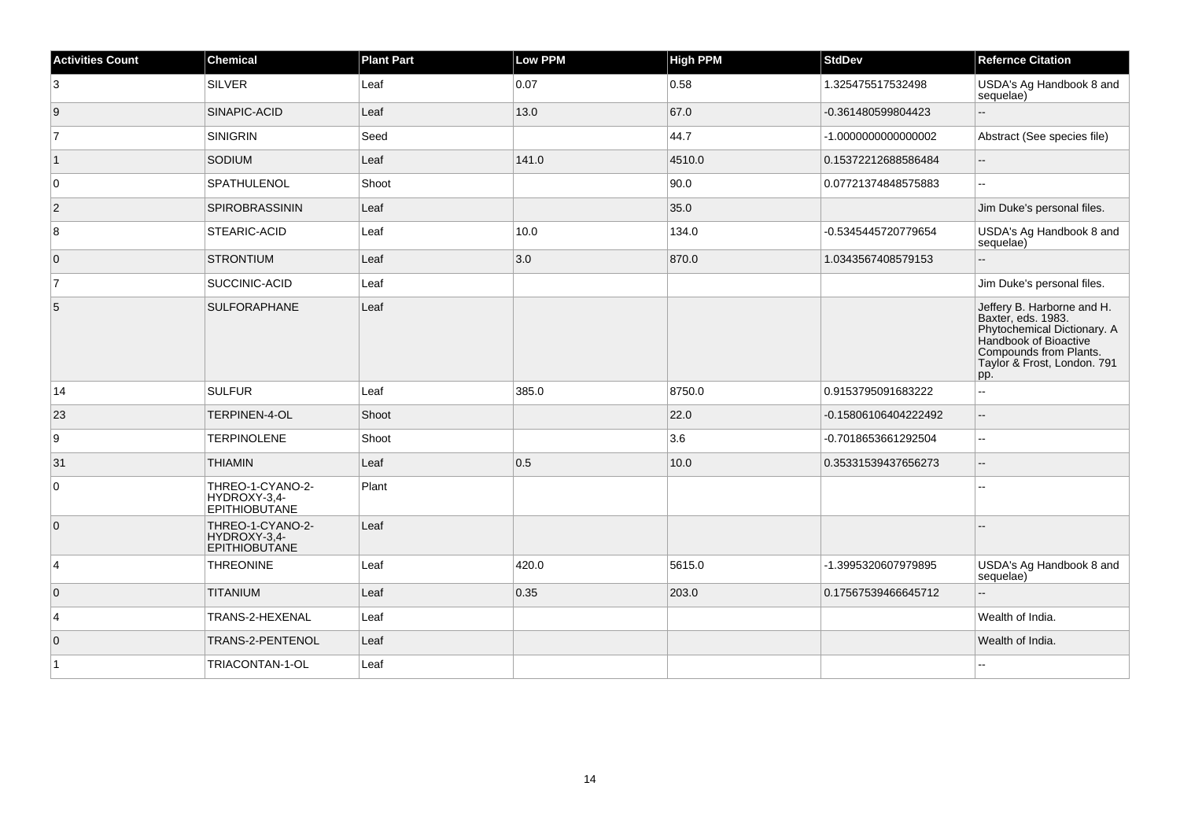| <b>Activities Count</b> | <b>Chemical</b>                                          | <b>Plant Part</b> | <b>Low PPM</b> | <b>High PPM</b> | <b>StdDev</b>        | <b>Refernce Citation</b>                                                                                                                                                 |
|-------------------------|----------------------------------------------------------|-------------------|----------------|-----------------|----------------------|--------------------------------------------------------------------------------------------------------------------------------------------------------------------------|
| 3                       | SILVER                                                   | Leaf              | 0.07           | 0.58            | 1.325475517532498    | USDA's Ag Handbook 8 and<br>sequelae)                                                                                                                                    |
| 9                       | SINAPIC-ACID                                             | Leaf              | 13.0           | 67.0            | -0.361480599804423   |                                                                                                                                                                          |
| $\overline{7}$          | SINIGRIN                                                 | Seed              |                | 44.7            | -1.000000000000002   | Abstract (See species file)                                                                                                                                              |
| $\vert$ 1               | SODIUM                                                   | Leaf              | 141.0          | 4510.0          | 0.15372212688586484  | --                                                                                                                                                                       |
| 0                       | SPATHULENOL                                              | Shoot             |                | 90.0            | 0.07721374848575883  | Щ,                                                                                                                                                                       |
| $\vert$ 2               | <b>SPIROBRASSININ</b>                                    | Leaf              |                | 35.0            |                      | Jim Duke's personal files.                                                                                                                                               |
| 8                       | STEARIC-ACID                                             | Leaf              | 10.0           | 134.0           | -0.5345445720779654  | USDA's Ag Handbook 8 and<br>sequelae)                                                                                                                                    |
| $\overline{0}$          | <b>STRONTIUM</b>                                         | Leaf              | 3.0            | 870.0           | 1.0343567408579153   | $-$                                                                                                                                                                      |
| $\overline{7}$          | SUCCINIC-ACID                                            | Leaf              |                |                 |                      | Jim Duke's personal files.                                                                                                                                               |
| 5                       | SULFORAPHANE                                             | Leaf              |                |                 |                      | Jeffery B. Harborne and H.<br>Baxter, eds. 1983.<br>Phytochemical Dictionary. A<br>Handbook of Bioactive<br>Compounds from Plants.<br>Taylor & Frost, London. 791<br>pp. |
| 14                      | SULFUR                                                   | Leaf              | 385.0          | 8750.0          | 0.9153795091683222   | $\overline{\phantom{a}}$                                                                                                                                                 |
| 23                      | TERPINEN-4-OL                                            | Shoot             |                | 22.0            | -0.15806106404222492 | $\overline{\phantom{a}}$                                                                                                                                                 |
| 9                       | <b>TERPINOLENE</b>                                       | Shoot             |                | 3.6             | -0.7018653661292504  | ц.                                                                                                                                                                       |
| 31                      | <b>THIAMIN</b>                                           | Leaf              | 0.5            | 10.0            | 0.35331539437656273  | $\overline{\phantom{a}}$                                                                                                                                                 |
| 0                       | THREO-1-CYANO-2-<br>HYDROXY-3,4-<br><b>EPITHIOBUTANE</b> | Plant             |                |                 |                      | ۵.                                                                                                                                                                       |
| $\overline{0}$          | THREO-1-CYANO-2-<br>HYDROXY-3,4-<br>EPITHIOBUTANE        | Leaf              |                |                 |                      |                                                                                                                                                                          |
| $\vert 4 \vert$         | <b>THREONINE</b>                                         | Leaf              | 420.0          | 5615.0          | -1.3995320607979895  | USDA's Ag Handbook 8 and<br>sequelae)                                                                                                                                    |
| $\overline{0}$          | <b>TITANIUM</b>                                          | Leaf              | 0.35           | 203.0           | 0.17567539466645712  |                                                                                                                                                                          |
| $\overline{4}$          | TRANS-2-HEXENAL                                          | Leaf              |                |                 |                      | Wealth of India.                                                                                                                                                         |
| $\overline{0}$          | TRANS-2-PENTENOL                                         | Leaf              |                |                 |                      | Wealth of India.                                                                                                                                                         |
| $\overline{1}$          | TRIACONTAN-1-OL                                          | Leaf              |                |                 |                      |                                                                                                                                                                          |